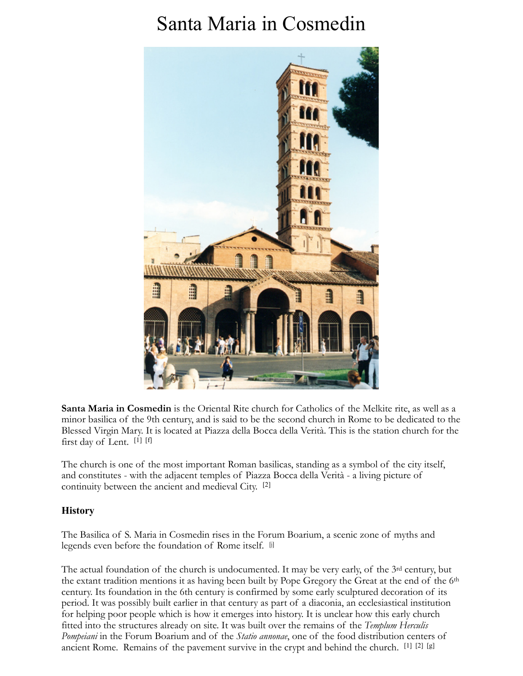# Santa Maria in Cosmedin



**Santa Maria in Cosmedin** is the Oriental Rite church for Catholics of the Melkite rite, as well as a minor basilica of the 9th century, and is said to be the second church in Rome to be dedicated to the Blessed Virgin Mary. It is located at Piazza della Bocca della Verità. This is the station church for the first day of Lent. [1] [f]

The church is one of the most important Roman basilicas, standing as a symbol of the city itself, and constitutes - with the adjacent temples of Piazza Bocca della Verità - a living picture of continuity between the ancient and medieval City. [2]

# **History**

The Basilica of S. Maria in Cosmedin rises in the Forum Boarium, a scenic zone of myths and legends even before the foundation of Rome itself. [i]

The actual foundation of the church is undocumented. It may be very early, of the 3rd century, but the extant tradition mentions it as having been built by Pope Gregory the Great at the end of the 6th century. Its foundation in the 6th century is confirmed by some early sculptured decoration of its period. It was possibly built earlier in that century as part of a diaconia, an ecclesiastical institution for helping poor people which is how it emerges into history. It is unclear how this early church fitted into the structures already on site. It was built over the remains of the *Templum Herculis Pompeiani* in the Forum Boarium and of the *Statio annonae*, one of the food distribution centers of ancient Rome. Remains of the pavement survive in the crypt and behind the church. [1] [2] [g]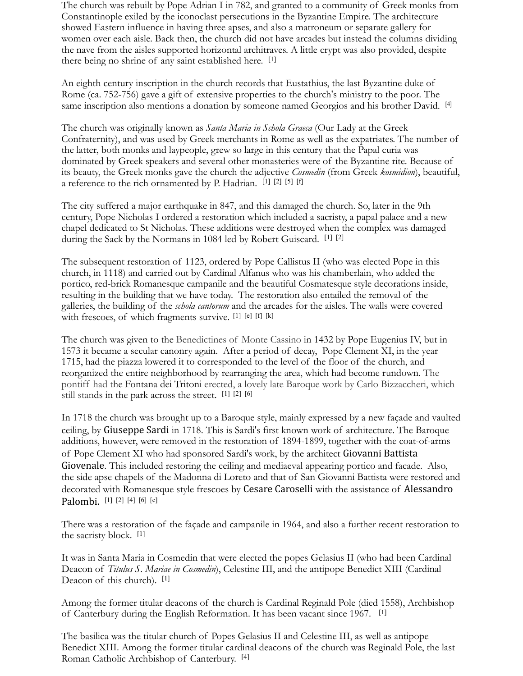The church was rebuilt by Pope Adrian I in 782, and granted to a community of Greek monks from Constantinople exiled by the iconoclast persecutions in the Byzantine Empire. The architecture showed Eastern influence in having three apses, and also a matroneum or separate gallery for women over each aisle. Back then, the church did not have arcades but instead the columns dividing the nave from the aisles supported horizontal architraves. A little crypt was also provided, despite there being no shrine of any saint established here. [1]

An eighth century inscription in the church records that Eustathius, the last Byzantine duke of Rome (ca. 752-756) gave a gift of extensive properties to the church's ministry to the poor. The same inscription also mentions a donation by someone named Georgios and his brother David. [4]

The church was originally known as *Santa Maria in Schola Graeca* (Our Lady at the Greek Confraternity), and was used by Greek merchants in Rome as well as the expatriates. The number of the latter, both monks and laypeople, grew so large in this century that the Papal curia was dominated by Greek speakers and several other monasteries were of the Byzantine rite. Because of its beauty, the Greek monks gave the church the adjective *Cosmedin* (from Greek *kosmidion*), beautiful, a reference to the rich ornamented by P. Hadrian. [1] [2] [5] [f]

The city suffered a major earthquake in 847, and this damaged the church. So, later in the 9th century, Pope Nicholas I ordered a restoration which included a sacristy, a papal palace and a new chapel dedicated to St Nicholas. These additions were destroyed when the complex was damaged during the Sack by the Normans in 1084 led by Robert Guiscard. [1] [2]

The subsequent restoration of 1123, ordered by Pope Callistus II (who was elected Pope in this church, in 1118) and carried out by Cardinal Alfanus who was his chamberlain, who added the portico, red-brick Romanesque campanile and the beautiful Cosmatesque style decorations inside, resulting in the building that we have today. The restoration also entailed the removal of the galleries, the building of the *schola cantorum* and the arcades for the aisles. The walls were covered with frescoes, of which fragments survive. [1] [e] [f] [k]

The church was given to the Benedictines of Monte Cassino in 1432 by Pope Eugenius IV, but in 1573 it became a secular canonry again. After a period of decay, Pope Clement XI, in the year 1715, had the piazza lowered it to corresponded to the level of the floor of the church, and reorganized the entire neighborhood by rearranging the area, which had become rundown. The pontiff had the Fontana dei Tritoni erected, a lovely late Baroque work by Carlo Bizzaccheri, which still stands in the park across the street. [1] [2] [6]

In 1718 the church was brought up to a Baroque style, mainly expressed by a new façade and vaulted ceiling, by Giuseppe Sardi in 1718. This is Sardi's first known work of architecture. The Baroque additions, however, were removed in the restoration of 1894-1899, together with the coat-of-arms of Pope Clement XI who had sponsored Sardi's work, by the architect Giovanni Battista Giovenale. This included restoring the ceiling and mediaeval appearing portico and facade. Also, the side apse chapels of the Madonna di Loreto and that of San Giovanni Battista were restored and decorated with Romanesque style frescoes by Cesare Caroselli with the assistance of Alessandro Palombi. [1] [2] [4] [6] [c]

There was a restoration of the façade and campanile in 1964, and also a further recent restoration to the sacristy block. [1]

It was in Santa Maria in Cosmedin that were elected the popes Gelasius II (who had been Cardinal Deacon of *Titulus S. Mariae in Cosmedin*), Celestine III, and the antipope Benedict XIII (Cardinal Deacon of this church). [1]

Among the former titular deacons of the church is Cardinal Reginald Pole (died 1558), Archbishop of Canterbury during the English Reformation. It has been vacant since 1967. [1]

The basilica was the titular church of Popes Gelasius II and Celestine III, as well as antipope Benedict XIII. Among the former titular cardinal deacons of the church was Reginald Pole, the last Roman Catholic Archbishop of Canterbury. [4]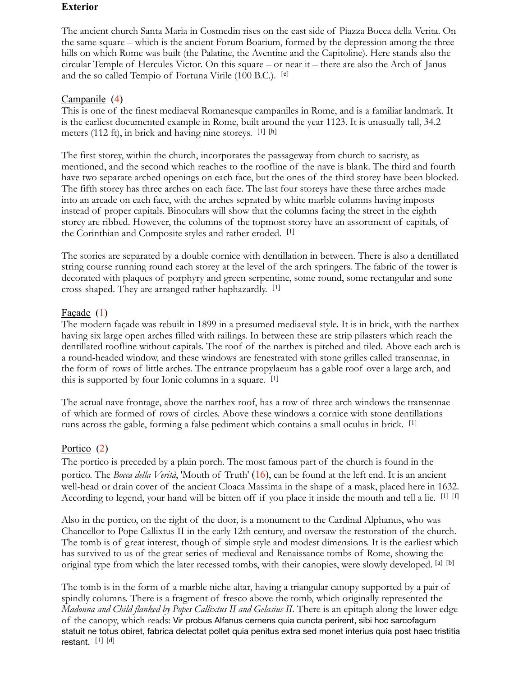## **Exterior**

The ancient church Santa Maria in Cosmedin rises on the east side of Piazza Bocca della Verita. On the same square – which is the ancient Forum Boarium, formed by the depression among the three hills on which Rome was built (the Palatine, the Aventine and the Capitoline). Here stands also the circular Temple of Hercules Victor. On this square – or near it – there are also the Arch of Janus and the so called Tempio of Fortuna Virile (100 B.C.). [e]

# Campanile (4)

This is one of the finest mediaeval Romanesque campaniles in Rome, and is a familiar landmark. It is the earliest documented example in Rome, built around the year 1123. It is unusually tall, 34.2 meters (112 ft), in brick and having nine storeys. [1] [h]

The first storey, within the church, incorporates the passageway from church to sacristy, as mentioned, and the second which reaches to the roofline of the nave is blank. The third and fourth have two separate arched openings on each face, but the ones of the third storey have been blocked. The fifth storey has three arches on each face. The last four storeys have these three arches made into an arcade on each face, with the arches seprated by white marble columns having imposts instead of proper capitals. Binoculars will show that the columns facing the street in the eighth storey are ribbed. However, the columns of the topmost storey have an assortment of capitals, of the Corinthian and Composite styles and rather eroded. [1]

The stories are separated by a double cornice with dentillation in between. There is also a dentillated string course running round each storey at the level of the arch springers. The fabric of the tower is decorated with plaques of porphyry and green serpentine, some round, some rectangular and sone cross-shaped. They are arranged rather haphazardly. [1]

# Façade (1)

The modern façade was rebuilt in 1899 in a presumed mediaeval style. It is in brick, with the narthex having six large open arches filled with railings. In between these are strip pilasters which reach the dentillated roofline without capitals. The roof of the narthex is pitched and tiled. Above each arch is a round-headed window, and these windows are fenestrated with stone grilles called transennae, in the form of rows of little arches. The entrance propylaeum has a gable roof over a large arch, and this is supported by four Ionic columns in a square. [1]

The actual nave frontage, above the narthex roof, has a row of three arch windows the transennae of which are formed of rows of circles. Above these windows a cornice with stone dentillations runs across the gable, forming a false pediment which contains a small oculus in brick. [1]

# Portico (2)

The portico is preceded by a plain porch. The most famous part of the church is found in the portico. The *Bocca della Verità*, 'Mouth of Truth' (16), can be found at the left end. It is an ancient well-head or drain cover of the ancient Cloaca Massima in the shape of a mask, placed here in 1632. According to legend, your hand will be bitten off if you place it inside the mouth and tell a lie. [1] [f]

Also in the portico, on the right of the door, is a monument to the Cardinal Alphanus, who was Chancellor to Pope Callixtus II in the early 12th century, and oversaw the restoration of the church. The tomb is of great interest, though of simple style and modest dimensions. It is the earliest which has survived to us of the great series of medieval and Renaissance tombs of Rome, showing the original type from which the later recessed tombs, with their canopies, were slowly developed. [a] [b]

The tomb is in the form of a marble niche altar, having a triangular canopy supported by a pair of spindly columns. There is a fragment of fresco above the tomb, which originally represented the *Madonna and Child flanked by Popes Callixtus II and Gelasius II*. There is an epitaph along the lower edge of the canopy, which reads: Vir probus Alfanus cernens quia cuncta perirent, sibi hoc sarcofagum statuit ne totus obiret, fabrica delectat pollet quia penitus extra sed monet interius quia post haec tristitia restant.[1] [d]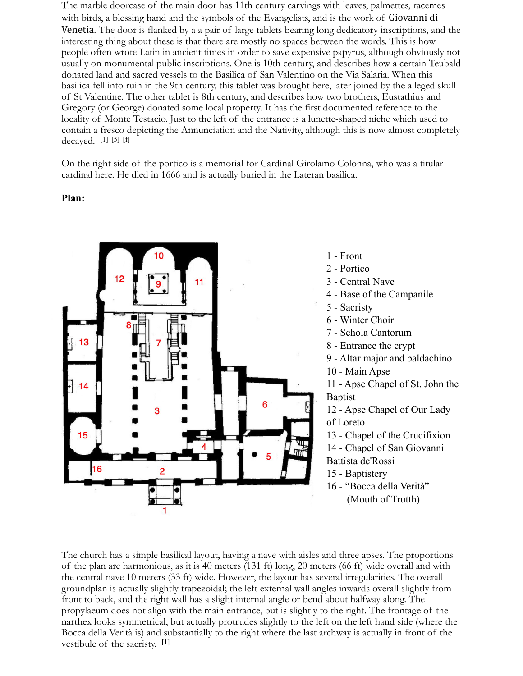The marble doorcase of the main door has 11th century carvings with leaves, palmettes, racemes with birds, a blessing hand and the symbols of the Evangelists, and is the work of Giovanni di Venetia. The door is flanked by a a pair of large tablets bearing long dedicatory inscriptions, and the interesting thing about these is that there are mostly no spaces between the words. This is how people often wrote Latin in ancient times in order to save expensive papyrus, although obviously not usually on monumental public inscriptions. One is 10th century, and describes how a certain Teubald donated land and sacred vessels to the Basilica of San Valentino on the Via Salaria. When this basilica fell into ruin in the 9th century, this tablet was brought here, later joined by the alleged skull of St Valentine. The other tablet is 8th century, and describes how two brothers, Eustathius and Gregory (or George) donated some local property. It has the first documented reference to the locality of Monte Testacio. Just to the left of the entrance is a lunette-shaped niche which used to contain a fresco depicting the Annunciation and the Nativity, although this is now almost completely decayed. [1] [5] [f]

On the right side of the portico is a memorial for Cardinal Girolamo Colonna, who was a titular cardinal here. He died in 1666 and is actually buried in the Lateran basilica.

#### **Plan:**



1 - Front 2 - Portico 3 - Central Nave 4 - Base of the Campanile 5 - Sacristy 6 - Winter Choir 7 - Schola Cantorum 8 - Entrance the crypt 9 - Altar major and baldachino 10 - Main Apse 11 - Apse Chapel of St. John the Baptist 12 - Apse Chapel of Our Lady of Loreto 13 - Chapel of the Crucifixion 14 - Chapel of San Giovanni Battista de'Rossi 15 - Baptistery 16 - "Bocca della Verità"

(Mouth of Trutth)

The church has a simple basilical layout, having a nave with aisles and three apses. The proportions of the plan are harmonious, as it is 40 meters (131 ft) long, 20 meters (66 ft) wide overall and with the central nave 10 meters (33 ft) wide. However, the layout has several irregularities. The overall groundplan is actually slightly trapezoidal; the left external wall angles inwards overall slightly from front to back, and the right wall has a slight internal angle or bend about halfway along. The propylaeum does not align with the main entrance, but is slightly to the right. The frontage of the narthex looks symmetrical, but actually protrudes slightly to the left on the left hand side (where the Bocca della Verità is) and substantially to the right where the last archway is actually in front of the vestibule of the sacristy. [1]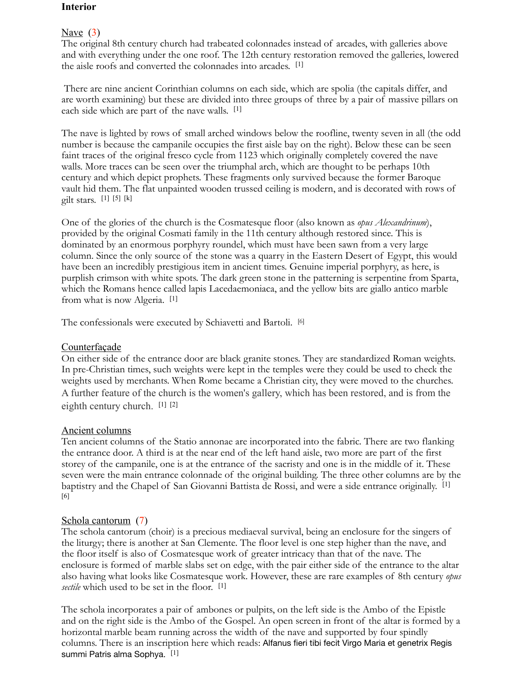## **Interior**

## Nave (3)

The original 8th century church had trabeated colonnades instead of arcades, with galleries above and with everything under the one roof. The 12th century restoration removed the galleries, lowered the aisle roofs and converted the colonnades into arcades. [1]

 There are nine ancient Corinthian columns on each side, which are spolia (the capitals differ, and are worth examining) but these are divided into three groups of three by a pair of massive pillars on each side which are part of the nave walls. [1]

The nave is lighted by rows of small arched windows below the roofline, twenty seven in all (the odd number is because the campanile occupies the first aisle bay on the right). Below these can be seen faint traces of the original fresco cycle from 1123 which originally completely covered the nave walls. More traces can be seen over the triumphal arch, which are thought to be perhaps 10th century and which depict prophets. These fragments only survived because the former Baroque vault hid them. The flat unpainted wooden trussed ceiling is modern, and is decorated with rows of gilt stars. [1] [5] [k]

One of the glories of the church is the Cosmatesque floor (also known as *opus Alexandrinum*), provided by the original Cosmati family in the 11th century although restored since. This is dominated by an enormous porphyry roundel, which must have been sawn from a very large column. Since the only source of the stone was a quarry in the Eastern Desert of Egypt, this would have been an incredibly prestigious item in ancient times. Genuine imperial porphyry, as here, is purplish crimson with white spots. The dark green stone in the patterning is serpentine from Sparta, which the Romans hence called lapis Lacedaemoniaca, and the yellow bits are giallo antico marble from what is now Algeria. [1]

The confessionals were executed by Schiavetti and Bartoli. [6]

# Counterfaçade

On either side of the entrance door are black granite stones. They are standardized Roman weights. In pre-Christian times, such weights were kept in the temples were they could be used to check the weights used by merchants. When Rome became a Christian city, they were moved to the churches. A further feature of the church is the women's gallery, which has been restored, and is from the eighth century church. [1] [2]

# Ancient columns

Ten ancient columns of the Statio annonae are incorporated into the fabric. There are two flanking the entrance door. A third is at the near end of the left hand aisle, two more are part of the first storey of the campanile, one is at the entrance of the sacristy and one is in the middle of it. These seven were the main entrance colonnade of the original building. The three other columns are by the baptistry and the Chapel of San Giovanni Battista de Rossi, and were a side entrance originally. [1] [6]

# Schola cantorum (7)

The schola cantorum (choir) is a precious mediaeval survival, being an enclosure for the singers of the liturgy; there is another at San Clemente. The floor level is one step higher than the nave, and the floor itself is also of Cosmatesque work of greater intricacy than that of the nave. The enclosure is formed of marble slabs set on edge, with the pair either side of the entrance to the altar also having what looks like Cosmatesque work. However, these are rare examples of 8th century *opus sectile* which used to be set in the floor. [1]

The schola incorporates a pair of ambones or pulpits, on the left side is the Ambo of the Epistle and on the right side is the Ambo of the Gospel. An open screen in front of the altar is formed by a horizontal marble beam running across the width of the nave and supported by four spindly columns. There is an inscription here which reads: Alfanus fieri tibi fecit Virgo Maria et genetrix Regis summi Patris alma Sophya. [1]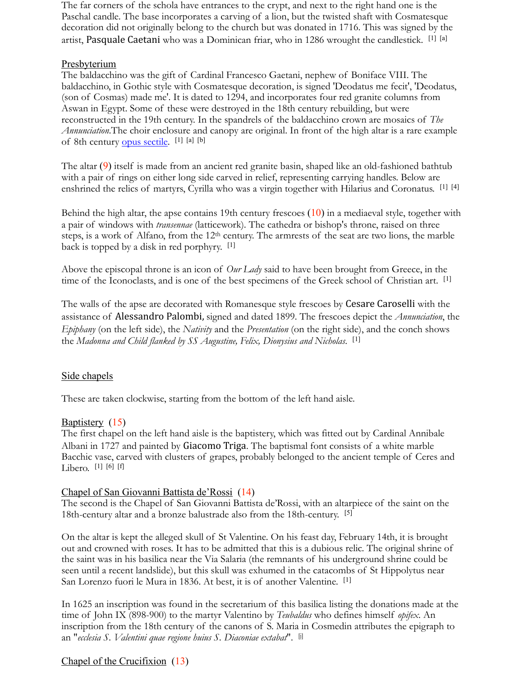The far corners of the schola have entrances to the crypt, and next to the right hand one is the Paschal candle. The base incorporates a carving of a lion, but the twisted shaft with Cosmatesque decoration did not originally belong to the church but was donated in 1716. This was signed by the artist, Pasquale Caetani who was a Dominican friar, who in 1286 wrought the candlestick.  $[1]$  [a]

## **Presbyterium**

The baldacchino was the gift of Cardinal Francesco Gaetani, nephew of Boniface VIII. The baldacchino, in Gothic style with Cosmatesque decoration, is signed 'Deodatus me fecit', 'Deodatus, (son of Cosmas) made me'. It is dated to 1294, and incorporates four red granite columns from Aswan in Egypt. Some of these were destroyed in the 18th century rebuilding, but were reconstructed in the 19th century. In the spandrels of the baldacchino crown are mosaics of *The Annunciation*.The choir enclosure and canopy are original. In front of the high altar is a rare example of 8th century [opus sectile](http://en.wikipedia.org/wiki/Opus_sectile). [1] [a] [b]

The altar (9) itself is made from an ancient red granite basin, shaped like an old-fashioned bathtub with a pair of rings on either long side carved in relief, representing carrying handles. Below are enshrined the relics of martyrs, Cyrilla who was a virgin together with Hilarius and Coronatus. [1] [4]

Behind the high altar, the apse contains 19th century frescoes  $(10)$  in a mediaeval style, together with a pair of windows with *transennae* (latticework)*.* The cathedra or bishop's throne, raised on three steps, is a work of Alfano, from the 12th century. The armrests of the seat are two lions, the marble back is topped by a disk in red porphyry. [1]

Above the episcopal throne is an icon of *Our Lady* said to have been brought from Greece, in the time of the Iconoclasts, and is one of the best specimens of the Greek school of Christian art. <sup>[1]</sup>

The walls of the apse are decorated with Romanesque style frescoes by Cesare Caroselli with the assistance of Alessandro Palombi, signed and dated 1899. The frescoes depict the *Annunciation*, the *Epiphany* (on the left side), the *Nativity* and the *Presentation* (on the right side), and the conch shows the *Madonna and Child flanked by SS Augustine, Felix, Dionysius and Nicholas*. [1]

# Side chapels

These are taken clockwise, starting from the bottom of the left hand aisle.

## Baptistery (15)

The first chapel on the left hand aisle is the baptistery, which was fitted out by Cardinal Annibale Albani in 1727 and painted by Giacomo Triga. The baptismal font consists of a white marble Bacchic vase, carved with clusters of grapes, probably belonged to the ancient temple of Ceres and Libero. [1] [6] [f]

## Chapel of San Giovanni Battista de'Rossi (14)

The second is the Chapel of San Giovanni Battista de'Rossi, with an altarpiece of the saint on the 18th-century altar and a bronze balustrade also from the 18th-century. [5]

On the altar is kept the alleged skull of St Valentine. On his feast day, February 14th, it is brought out and crowned with roses. It has to be admitted that this is a dubious relic. The original shrine of the saint was in his basilica near the Via Salaria (the remnants of his underground shrine could be seen until a recent landslide), but this skull was exhumed in the catacombs of St Hippolytus near San Lorenzo fuori le Mura in 1836. At best, it is of another Valentine. [1]

In 1625 an inscription was found in the secretarium of this basilica listing the donations made at the time of John IX (898-900) to the martyr Valentino by *Teubaldus* who defines himself *opifex*. An inscription from the 18th century of the canons of S. Maria in Cosmedin attributes the epigraph to an "*ecclesia S. Valentini quae regione huius S. Diaconiae extabat*". [j]

# Chapel of the Crucifixion (13)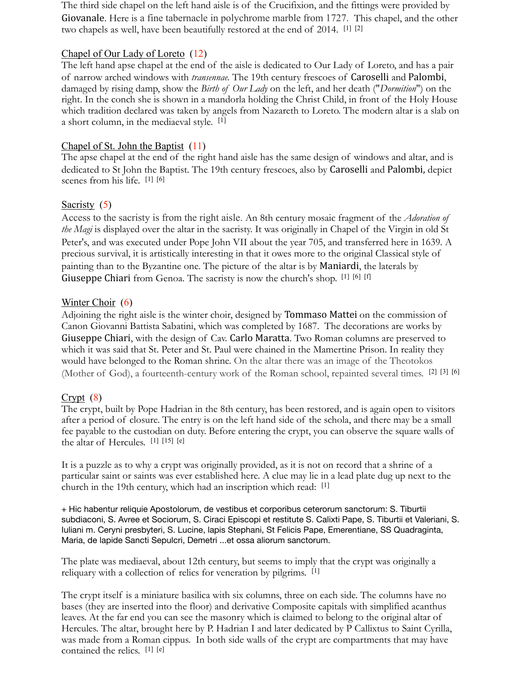The third side chapel on the left hand aisle is of the Crucifixion, and the fittings were provided by Giovanale. Here is a fine tabernacle in polychrome marble from 1727. This chapel, and the other two chapels as well, have been beautifully restored at the end of 2014. [1] [2]

## Chapel of Our Lady of Loreto (12)

The left hand apse chapel at the end of the aisle is dedicated to Our Lady of Loreto, and has a pair of narrow arched windows with *transennae*. The 19th century frescoes of Caroselli and Palombi, damaged by rising damp, show the *Birth of Our Lady* on the left, and her death ("*Dormition*") on the right. In the conch she is shown in a mandorla holding the Christ Child, in front of the Holy House which tradition declared was taken by angels from Nazareth to Loreto. The modern altar is a slab on a short column, in the mediaeval style. [1]

## Chapel of St. John the Baptist (11)

The apse chapel at the end of the right hand aisle has the same design of windows and altar, and is dedicated to St John the Baptist. The 19th century frescoes, also by Caroselli and Palombi, depict scenes from his life. [1] [6]

## Sacristy (5)

Access to the sacristy is from the right aisle. An 8th century mosaic fragment of the *Adoration of the Magi* is displayed over the altar in the sacristy. It was originally in Chapel of the Virgin in old St Peter's, and was executed under Pope John VII about the year 705, and transferred here in 1639. A precious survival, it is artistically interesting in that it owes more to the original Classical style of painting than to the Byzantine one. The picture of the altar is by Maniardi, the laterals by Giuseppe Chiari from Genoa. The sacristy is now the church's shop. [1] [6] [f]

## Winter Choir (6)

Adjoining the right aisle is the winter choir, designed by **Tommaso Mattei** on the commission of Canon Giovanni Battista Sabatini, which was completed by 1687. The decorations are works by Giuseppe Chiari, with the design of Cav. Carlo Maratta. Two Roman columns are preserved to which it was said that St. Peter and St. Paul were chained in the Mamertine Prison. In reality they would have belonged to the Roman shrine. On the altar there was an image of the Theotokos (Mother of God), a fourteenth-century work of the Roman school, repainted several times. [2] [3] [6]

# $Crypt(8)$

The crypt, built by Pope Hadrian in the 8th century, has been restored, and is again open to visitors after a period of closure. The entry is on the left hand side of the schola, and there may be a small fee payable to the custodian on duty. Before entering the crypt, you can observe the square walls of the altar of Hercules. [1] [15] [e]

It is a puzzle as to why a crypt was originally provided, as it is not on record that a shrine of a particular saint or saints was ever established here. A clue may lie in a lead plate dug up next to the church in the 19th century, which had an inscription which read: [1]

+ Hic habentur reliquie Apostolorum, de vestibus et corporibus ceterorum sanctorum: S. Tiburtii subdiaconi, S. Avree et Sociorum, S. Ciraci Episcopi et restitute S. Calixti Pape, S. Tiburtii et Valeriani, S. Iuliani m. Ceryni presbyteri, S. Lucine, lapis Stephani, St Felicis Pape, Emerentiane, SS Quadraginta, Maria, de lapide Sancti Sepulcri, Demetri ...et ossa aliorum sanctorum.

The plate was mediaeval, about 12th century, but seems to imply that the crypt was originally a reliquary with a collection of relics for veneration by pilgrims. [1]

The crypt itself is a miniature basilica with six columns, three on each side. The columns have no bases (they are inserted into the floor) and derivative Composite capitals with simplified acanthus leaves. At the far end you can see the masonry which is claimed to belong to the original altar of Hercules. The altar, brought here by P. Hadrian I and later dedicated by P Callixtus to Saint Cyrilla, was made from a Roman cippus. In both side walls of the crypt are compartments that may have contained the relics. [1] [e]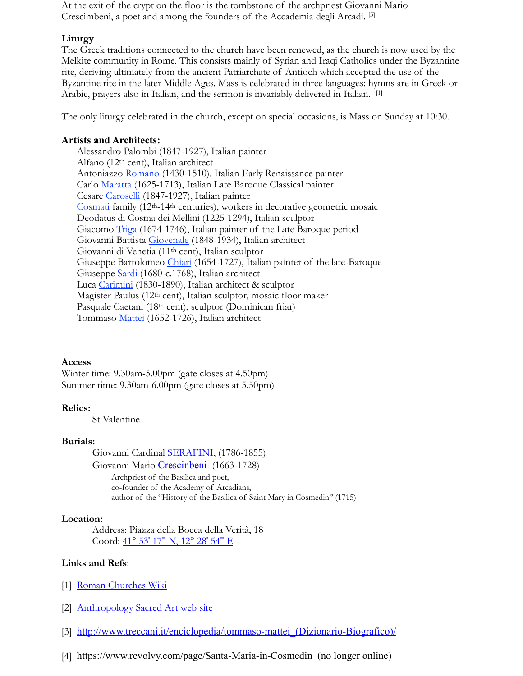At the exit of the crypt on the floor is the tombstone of the archpriest Giovanni Mario Crescimbeni, a poet and among the founders of the Accademia degli Arcadi. [5]

#### **Liturgy**

The Greek traditions connected to the church have been renewed, as the church is now used by the Melkite community in Rome. This consists mainly of Syrian and Iraqi Catholics under the Byzantine rite, deriving ultimately from the ancient Patriarchate of Antioch which accepted the use of the Byzantine rite in the later Middle Ages. Mass is celebrated in three languages: hymns are in Greek or Arabic, prayers also in Italian, and the sermon is invariably delivered in Italian. [1]

The only liturgy celebrated in the church, except on special occasions, is Mass on Sunday at 10:30.

#### **Artists and Architects:**

Alessandro Palombi (1847-1927), Italian painter Alfano (12th cent), Italian architect Antoniazzo [Romano](http://en.wikipedia.org/wiki/Antoniazzo_Romano) (1430-1510), Italian Early Renaissance painter Carlo [Maratta](http://en.wikipedia.org/wiki/Carlo_Maratta) (1625-1713), Italian Late Baroque Classical painter Cesare [Caroselli](http://www.churches-of-rome.info/ArtistBios/CAROSELLI.pdf) (1847-1927), Italian painter [Cosmati](http://en.wikipedia.org/wiki/Cosmati) family (12th-14th centuries), workers in decorative geometric mosaic Deodatus di Cosma dei Mellini (1225-1294), Italian sculptor Giacomo [Triga](https://es.wikipedia.org/wiki/Giacomo_Triga) (1674-1746), Italian painter of the Late Baroque period Giovanni Battista [Giovenale](http://www.churches-of-rome.info/ArtistBios/GIOVENALE.pdf) (1848-1934), Italian architect Giovanni di Venetia (11th cent), Italian sculptor Giuseppe Bartolomeo [Chiari](https://en.wikipedia.org/wiki/Giuseppe_Bartolomeo_Chiari) (1654-1727), Italian painter of the late-Baroque Giuseppe [Sardi](http://en.wikipedia.org/wiki/Giuseppe_Sardi) (1680-c.1768), Italian architect Luca [Carimini](http://www.churches-of-rome.info/ArtistBios/CARIMINI.pdf) (1830-1890), Italian architect & sculptor Magister Paulus (12th cent), Italian sculptor, mosaic floor maker Pasquale Caetani (18th cent), sculptor (Dominican friar) Tommaso [Mattei](http://www.churches-of-rome.info/ArtistBios/MATTEI,%20Tommaso.pdf) (1652-1726), Italian architect

#### **Access**

Winter time: 9.30am-5.00pm (gate closes at 4.50pm) Summer time: 9.30am-6.00pm (gate closes at 5.50pm)

#### **Relics:**

St Valentine

#### **Burials:**

Giovanni Cardinal [SERAFINI,](https://cardinals.fiu.edu/bios1843.htm#Serafini) (1786-1855) Giovanni Mario [Crescinbeni](https://en.wikipedia.org/wiki/Giovanni_Mario_Crescimbeni) (1663-1728) Archpriest of the Basilica and poet, co-founder of the Academy of Arcadians, author of the "History of the Basilica of Saint Mary in Cosmedin" (1715)

#### **Location:**

 Address: Piazza della Bocca della Verità, 18 Coord:  $\frac{41^{\circ}}{53' 17'' N}$ ,  $12^{\circ} 28' 54'' E$ 

#### **Links and Refs**:

- [1] [Roman Churches Wiki](http://romanchurches.wikia.com/wiki/Santa_Maria_in_Cosmedin)
- [2] [Anthropology Sacred Art web site](http://www.antropologiaartesacra.it/ALESSIO_VARISCO_ROMASantaMariaInCosmedin.html)
- [3] http://www.treccani.it/enciclopedia/tommaso-mattei (Dizionario-Biografico)/
- [4] https://www.revolvy.com/page/Santa-Maria-in-Cosmedin (no longer online)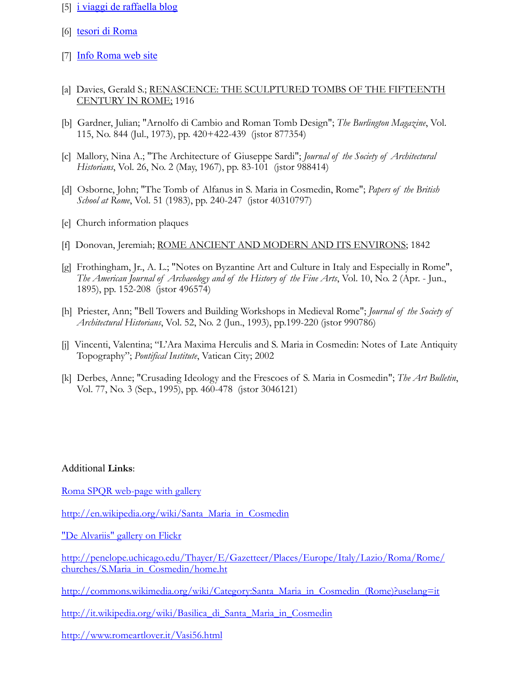- [5] [i viaggi de raffaella blog](http://iviaggidiraffaella.blogspot.com/2015/06/roma-il-foro-boario-lantico-mercato.html)
- [6] [tesori di Roma](http://www.tesoridiroma.net/chiese_medioevo/maria_cosmedin.html)
- [7] [Info Roma web site](https://www.info.roma.it/monumenti_dettaglio.asp?ID_schede=36)
- [a] Davies, Gerald S.; RENASCENCE: THE SCULPTURED TOMBS OF THE FIFTEENTH CENTURY IN ROME; 1916
- [b] Gardner, Julian; "Arnolfo di Cambio and Roman Tomb Design"; *The Burlington Magazine*, Vol. 115, No. 844 (Jul., 1973), pp. 420+422-439 (jstor 877354)
- [c] Mallory, Nina A.; "The Architecture of Giuseppe Sardi"; *Journal of the Society of Architectural Historians*, Vol. 26, No. 2 (May, 1967), pp. 83-101 (jstor 988414)
- [d] Osborne, John; "The Tomb of Alfanus in S. Maria in Cosmedin, Rome"; *Papers of the British School at Rome*, Vol. 51 (1983), pp. 240-247 (jstor 40310797)
- [e] Church information plaques
- [f] Donovan, Jeremiah; ROME ANCIENT AND MODERN AND ITS ENVIRONS; 1842
- [g] Frothingham, Jr., A. L.; "Notes on Byzantine Art and Culture in Italy and Especially in Rome", *The American Journal of Archaeology and of the History of the Fine Arts*, Vol. 10, No. 2 (Apr. - Jun., 1895), pp. 152-208 (jstor 496574)
- [h] Priester, Ann; "Bell Towers and Building Workshops in Medieval Rome"; *Journal of the Society of Architectural Historians*, Vol. 52, No. 2 (Jun., 1993), pp.199-220 (jstor 990786)
- [j] Vincenti, Valentina; "L'Ara Maxima Herculis and S. Maria in Cosmedin: Notes of Late Antiquity Topography"; *Pontifical Institute*, Vatican City; 2002
- [k] Derbes, Anne; "Crusading Ideology and the Frescoes of S. Maria in Cosmedin"; *The Art Bulletin*, Vol. 77, No. 3 (Sep., 1995), pp. 460-478 (jstor 3046121)

#### Additional **Links**:

[Roma SPQR web-page with gallery](http://www.romaspqr.it/roma/CHIESE/Chiese_Medievali/S_Maria_Cosmedin.htm)

[http://en.wikipedia.org/wiki/Santa\\_Maria\\_in\\_Cosmedin](http://en.wikipedia.org/wiki/Santa_Maria_in_Cosmedin)

["De Alvariis" gallery on Flickr](https://www.flickr.com/photos/dealvariis/sets/72157635403472411/)

[http://penelope.uchicago.edu/Thayer/E/Gazetteer/Places/Europe/Italy/Lazio/Roma/Rome/](http://penelope.uchicago.edu/Thayer/E/Gazetteer/Places/Europe/Italy/Lazio/Roma/Rome/churches/S.Maria_in_Cosmedin/home.ht) [churches/S.Maria\\_in\\_Cosmedin/home.ht](http://penelope.uchicago.edu/Thayer/E/Gazetteer/Places/Europe/Italy/Lazio/Roma/Rome/churches/S.Maria_in_Cosmedin/home.ht)

[http://commons.wikimedia.org/wiki/Category:Santa\\_Maria\\_in\\_Cosmedin\\_\(Rome\)?uselang=it](http://commons.wikimedia.org/wiki/Category:Santa_Maria_in_Cosmedin_(Rome)?uselang=it)

[http://it.wikipedia.org/wiki/Basilica\\_di\\_Santa\\_Maria\\_in\\_Cosmedin](http://it.wikipedia.org/wiki/Basilica_di_Santa_Maria_in_Cosmedin)

<http://www.romeartlover.it/Vasi56.html>